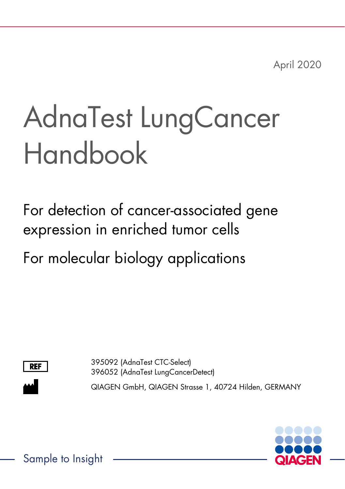April 2020

# AdnaTest LungCancer Handbook

For detection of cancer-associated gene expression in enriched tumor cells

For molecular biology applications



395092 (AdnaTest CTC-Select) 396052 (AdnaTest LungCancerDetect)

QIAGEN GmbH, QIAGEN Strasse 1, 40724 Hilden, GERMANY



Sample to Insight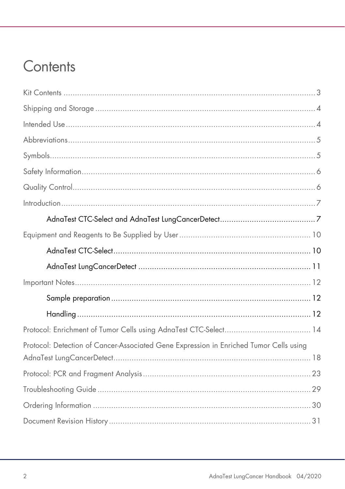## Contents

| Protocol: Detection of Cancer-Associated Gene Expression in Enriched Tumor Cells using |
|----------------------------------------------------------------------------------------|
|                                                                                        |
|                                                                                        |
|                                                                                        |
|                                                                                        |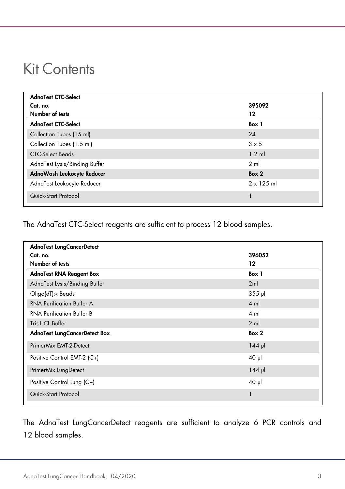### <span id="page-2-0"></span>Kit Contents

| AdnaTest CTC-Select           |                   |
|-------------------------------|-------------------|
| Cat. no.                      | 395092            |
| Number of tests               | 12                |
| AdnaTest CTC-Select           | Box 1             |
| Collection Tubes (15 ml)      | 24                |
| Collection Tubes (1.5 ml)     | $3 \times 5$      |
| <b>CTC-Select Beads</b>       | $1.2$ ml          |
| AdnaTest Lysis/Binding Buffer | $2 \text{ ml}$    |
| AdnaWash Leukocyte Reducer    | Box 2             |
| AdnaTest Leukocyte Reducer    | $2 \times 125$ ml |
| Quick-Start Protocol          |                   |

The AdnaTest CTC-Select reagents are sufficient to process 12 blood samples.

| <b>AdnaTest LungCancerDetect</b>     |                |
|--------------------------------------|----------------|
| Cat. no.                             | 396052         |
| Number of tests                      | 12             |
| <b>AdnaTest RNA Reagent Box</b>      | Box 1          |
| AdnaTest Lysis/Binding Buffer        | 2ml            |
| Oligo(dT) <sub>25</sub> Beads        | $355$ pl       |
| <b>RNA Purification Buffer A</b>     | $4 \text{ ml}$ |
| <b>RNA Purification Buffer B</b>     | $4 \text{ ml}$ |
| Tris-HCL Buffer                      | $2 \text{ ml}$ |
| <b>AdnaTest LungCancerDetect Box</b> | Box 2          |
| PrimerMix EMT-2-Detect               | $144$ pl       |
| Positive Control EMT-2 (C+)          | $40$ µ         |
| PrimerMix LungDetect                 | $144$ pl       |
| Positive Control Lung (C+)           | $40$ pl        |
| Quick-Start Protocol                 | 1              |

The AdnaTest LungCancerDetect reagents are sufficient to analyze 6 PCR controls and 12 blood samples.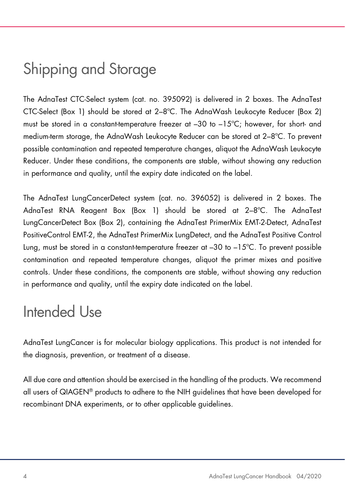# <span id="page-3-0"></span>Shipping and Storage

The AdnaTest CTC-Select system (cat. no. 395092) is delivered in 2 boxes. The AdnaTest CTC-Select (Box 1) should be stored at 2–8ºC. The AdnaWash Leukocyte Reducer (Box 2) must be stored in a constant-temperature freezer at –30 to –15ºC; however, for short- and medium-term storage, the AdnaWash Leukocyte Reducer can be stored at 2–8ºC. To prevent possible contamination and repeated temperature changes, aliquot the AdnaWash Leukocyte Reducer. Under these conditions, the components are stable, without showing any reduction in performance and quality, until the expiry date indicated on the label.

The AdnaTest LungCancerDetect system (cat. no. 396052) is delivered in 2 boxes. The AdnaTest RNA Reagent Box (Box 1) should be stored at 2–8ºC. The AdnaTest LungCancerDetect Box (Box 2), containing the AdnaTest PrimerMix EMT-2-Detect, AdnaTest PositiveControl EMT-2, the AdnaTest PrimerMix LungDetect, and the AdnaTest Positive Control Lung, must be stored in a constant-temperature freezer at –30 to –15ºC. To prevent possible contamination and repeated temperature changes, aliquot the primer mixes and positive controls. Under these conditions, the components are stable, without showing any reduction in performance and quality, until the expiry date indicated on the label.

### <span id="page-3-1"></span>Intended Use

AdnaTest LungCancer is for molecular biology applications. This product is not intended for the diagnosis, prevention, or treatment of a disease.

All due care and attention should be exercised in the handling of the products. We recommend all users of QIAGEN® products to adhere to the NIH guidelines that have been developed for recombinant DNA experiments, or to other applicable guidelines.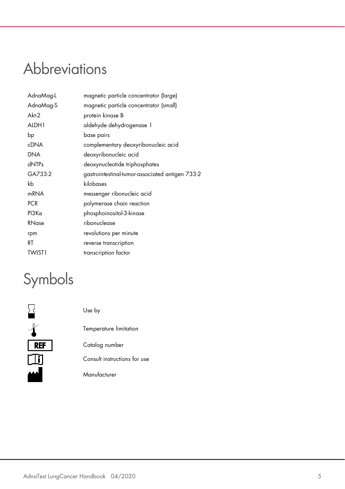# <span id="page-4-0"></span>Abbreviations

| AdnaMag-L        | magnetic particle concentrator (large)          |  |
|------------------|-------------------------------------------------|--|
| AdnaMag-S        | magnetic particle concentrator (small)          |  |
| Akt-2            | protein kinase B                                |  |
| ALDH1            | aldehyde dehydrogenase 1                        |  |
| bp               | base pairs                                      |  |
| <b>cDNA</b>      | complementary deoxyribonucleic acid             |  |
| <b>DNA</b>       | deoxyribonucleic acid                           |  |
| dNTPs            | deoxynucleotide triphosphates                   |  |
| GA733-2          | gastrointestinal-tumor-associated antigen 733-2 |  |
| kb               | kilobases                                       |  |
| m <sub>RNA</sub> | messenger ribonucleic acid                      |  |
| <b>PCR</b>       | polymerase chain reaction                       |  |
| $PI3K\alpha$     | phosphoinositol-3-kinase                        |  |
| RNase            | ribonuclease                                    |  |
| rpm              | revolutions per minute                          |  |
| RT               | reverse transcription                           |  |
| <b>TWIST1</b>    | transcription factor                            |  |

# <span id="page-4-1"></span>Symbols

|            | Use by                       |
|------------|------------------------------|
|            | Temperature limitation       |
| <b>REF</b> | Catalog number               |
|            | Consult instructions for use |
|            | Manufacturer                 |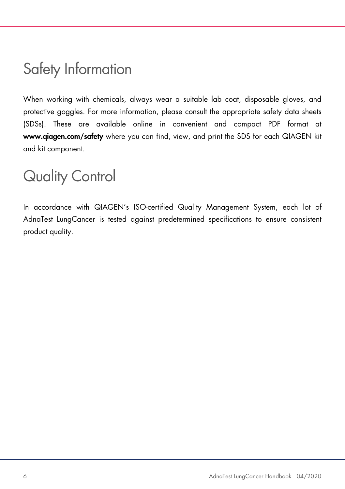## <span id="page-5-0"></span>Safety Information

When working with chemicals, always wear a suitable lab coat, disposable gloves, and protective goggles. For more information, please consult the appropriate safety data sheets (SDSs). These are available online in convenient and compact PDF format at www.qiagen.com/safety where you can find, view, and print the SDS for each QIAGEN kit and kit component.

### <span id="page-5-1"></span>Quality Control

In accordance with QIAGEN's ISO-certified Quality Management System, each lot of AdnaTest LungCancer is tested against predetermined specifications to ensure consistent product quality.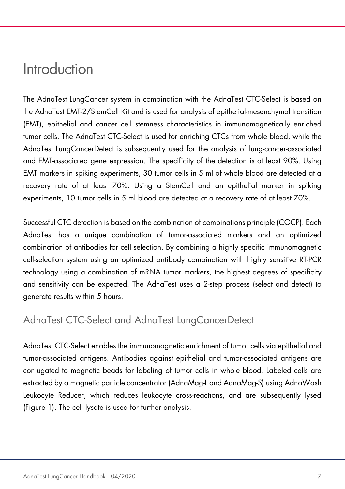### <span id="page-6-0"></span>Introduction

The AdnaTest LungCancer system in combination with the AdnaTest CTC-Select is based on the AdnaTest EMT-2/StemCell Kit and is used for analysis of epithelial-mesenchymal transition (EMT), epithelial and cancer cell stemness characteristics in immunomagnetically enriched tumor cells. The AdnaTest CTC-Select is used for enriching CTCs from whole blood, while the AdnaTest LungCancerDetect is subsequently used for the analysis of lung-cancer-associated and EMT-associated gene expression. The specificity of the detection is at least 90%. Using EMT markers in spiking experiments, 30 tumor cells in 5 ml of whole blood are detected at a recovery rate of at least 70%. Using a StemCell and an epithelial marker in spiking experiments, 10 tumor cells in 5 ml blood are detected at a recovery rate of at least 70%.

Successful CTC detection is based on the combination of combinations principle (COCP). Each AdnaTest has a unique combination of tumor-associated markers and an optimized combination of antibodies for cell selection. By combining a highly specific immunomagnetic cell-selection system using an optimized antibody combination with highly sensitive RT-PCR technology using a combination of mRNA tumor markers, the highest degrees of specificity and sensitivity can be expected. The AdnaTest uses a 2-step process (select and detect) to generate results within 5 hours.

### <span id="page-6-1"></span>AdnaTest CTC-Select and AdnaTest LungCancerDetect

AdnaTest CTC-Select enables the immunomagnetic enrichment of tumor cells via epithelial and tumor-associated antigens. Antibodies against epithelial and tumor-associated antigens are conjugated to magnetic beads for labeling of tumor cells in whole blood. Labeled cells are extracted by a magnetic particle concentrator (AdnaMag-L and AdnaMag-S) using AdnaWash Leukocyte Reducer, which reduces leukocyte cross-reactions, and are subsequently lysed [\(Figure 1\)](#page-7-0). The cell lysate is used for further analysis.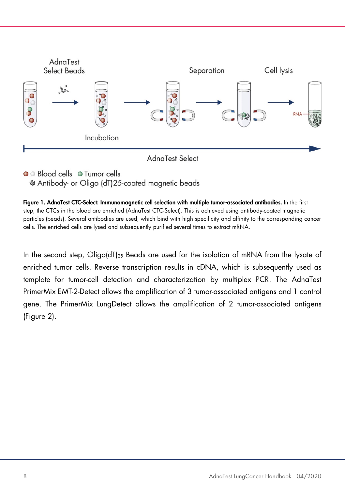

O Blood cells O Tumor cells

& Antibody- or Oligo (dT)25-coated magnetic beads

<span id="page-7-0"></span>Figure 1. AdnaTest CTC-Select: Immunomagnetic cell selection with multiple tumor-associated antibodies. In the first step, the CTCs in the blood are enriched (AdnaTest CTC-Select). This is achieved using antibody-coated magnetic particles (beads). Several antibodies are used, which bind with high specificity and affinity to the corresponding cancer cells. The enriched cells are lysed and subsequently purified several times to extract mRNA.

In the second step, Oligo(dT)<sub>25</sub> Beads are used for the isolation of mRNA from the lysate of enriched tumor cells. Reverse transcription results in cDNA, which is subsequently used as template for tumor-cell detection and characterization by multiplex PCR. The AdnaTest PrimerMix EMT-2-Detect allows the amplification of 3 tumor-associated antigens and 1 control gene. The PrimerMix LungDetect allows the amplification of 2 tumor-associated antigens [\(Figure 2\)](#page-8-0).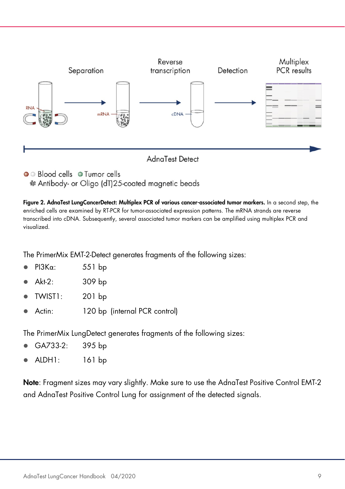

• Blood cells • Tumor cells & Antibody- or Oligo (dT)25-coated magnetic beads

<span id="page-8-0"></span>Figure 2. AdnaTest LungCancerDetect: Multiplex PCR of various cancer-associated tumor markers. In a second step, the enriched cells are examined by RT-PCR for tumor-associated expression patterns. The mRNA strands are reverse transcribed into cDNA. Subsequently, several associated tumor markers can be amplified using multiplex PCR and visualized.

The PrimerMix EMT-2-Detect generates fragments of the following sizes:

- PI3Kα: 551 bp
- Akt-2: 309 bp
- TWIST1: 201 bp
- Actin: 120 bp (internal PCR control)

The PrimerMix LungDetect generates fragments of the following sizes:

- GA733-2: 395 bp
- ALDH1: 161 bp

Note: Fragment sizes may vary slightly. Make sure to use the AdnaTest Positive Control EMT-2 and AdnaTest Positive Control Lung for assignment of the detected signals.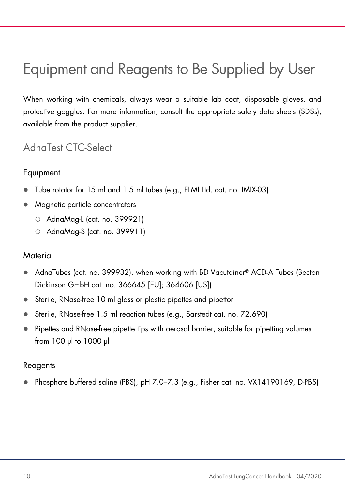# <span id="page-9-0"></span>Equipment and Reagents to Be Supplied by User

When working with chemicals, always wear a suitable lab coat, disposable gloves, and protective goggles. For more information, consult the appropriate safety data sheets (SDSs), available from the product supplier.

### <span id="page-9-1"></span>AdnaTest CTC-Select

#### Equipment

- Tube rotator for 15 ml and 1.5 ml tubes (e.g., ELMI Ltd. cat. no. IMIX-03)
- Magnetic particle concentrators
	- AdnaMag-L (cat. no. 399921)
	- AdnaMag-S (cat. no. 399911)

#### **Material**

- AdnaTubes (cat. no. 399932), when working with BD Vacutainer® ACD-A Tubes (Becton Dickinson GmbH cat. no. 366645 [EU]; 364606 [US])
- Sterile, RNase-free 10 ml glass or plastic pipettes and pipettor
- Sterile, RNase-free 1.5 ml reaction tubes (e.g., Sarstedt cat. no. 72.690)
- Pipettes and RNase-free pipette tips with aerosol barrier, suitable for pipetting volumes from 100 µl to 1000 µl

#### Reagents

Phosphate buffered saline (PBS), pH 7.0–7.3 (e.g., Fisher cat. no. VX14190169, D-PBS)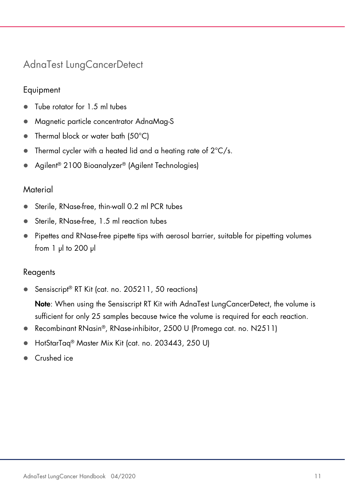### <span id="page-10-0"></span>AdnaTest LungCancerDetect

### Equipment

- Tube rotator for 1.5 ml tubes
- Magnetic particle concentrator AdnaMag-S
- Thermal block or water bath (50°C)
- $\bullet$  Thermal cycler with a heated lid and a heating rate of  $2^{\circ}C/s$ .
- Agilent<sup>®</sup> 2100 Bioanalyzer<sup>®</sup> (Agilent Technologies)

#### **Material**

- Sterile, RNase-free, thin-wall 0.2 ml PCR tubes
- Sterile, RNase-free, 1.5 ml reaction tubes
- Pipettes and RNase-free pipette tips with aerosol barrier, suitable for pipetting volumes from 1 µl to 200 µl

### Reagents

Sensiscript<sup>®</sup> RT Kit (cat. no. 205211, 50 reactions)

Note: When using the Sensiscript RT Kit with AdnaTest LungCancerDetect, the volume is sufficient for only 25 samples because twice the volume is required for each reaction.

- Recombinant RNasin®, RNase-inhibitor, 2500 U (Promega cat. no. N2511)
- HotStarTaq® Master Mix Kit (cat. no. 203443, 250 U)
- Crushed ice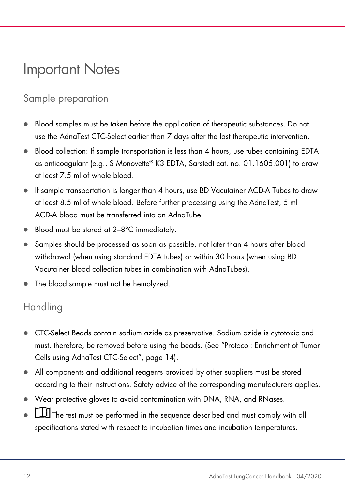### <span id="page-11-0"></span>Important Notes

### <span id="page-11-1"></span>Sample preparation

- Blood samples must be taken before the application of therapeutic substances. Do not use the AdnaTest CTC-Select earlier than 7 days after the last therapeutic intervention.
- Blood collection: If sample transportation is less than 4 hours, use tubes containing EDTA as anticoagulant (e.g., S Monovette® K3 EDTA, Sarstedt cat. no. 01.1605.001) to draw at least 7.5 ml of whole blood.
- If sample transportation is longer than 4 hours, use BD Vacutainer ACD-A Tubes to draw at least 8.5 ml of whole blood. Before further processing using the AdnaTest, 5 ml ACD-A blood must be transferred into an AdnaTube.
- Blood must be stored at 2–8°C immediately.
- Samples should be processed as soon as possible, not later than 4 hours after blood withdrawal (when using standard EDTA tubes) or within 30 hours (when using BD Vacutainer blood collection tubes in combination with AdnaTubes).
- The blood sample must not be hemolyzed.

### <span id="page-11-2"></span>**Handling**

- CTC-Select Beads contain sodium azide as preservative. Sodium azide is cytotoxic and must, therefore, be removed before using the beads. (See ["Protocol: Enrichment of Tumor](#page-13-0)  [Cells using AdnaTest CTC-Select"](#page-13-0), page [14\)](#page-13-0).
- All components and additional reagents provided by other suppliers must be stored according to their instructions. Safety advice of the corresponding manufacturers applies.
- Wear protective gloves to avoid contamination with DNA, RNA, and RNases.
- $\mathbf{I}$  The test must be performed in the sequence described and must comply with all specifications stated with respect to incubation times and incubation temperatures.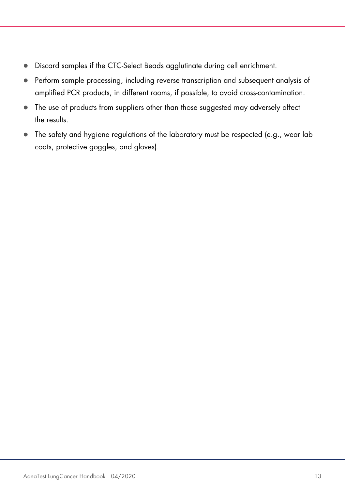- Discard samples if the CTC-Select Beads agglutinate during cell enrichment.
- Perform sample processing, including reverse transcription and subsequent analysis of amplified PCR products, in different rooms, if possible, to avoid cross-contamination.
- The use of products from suppliers other than those suggested may adversely affect the results.
- The safety and hygiene regulations of the laboratory must be respected (e.g., wear lab coats, protective goggles, and gloves).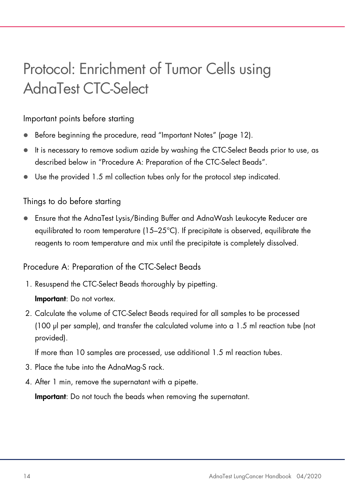# <span id="page-13-0"></span>Protocol: Enrichment of Tumor Cells using AdnaTest CTC-Select

#### Important points before starting

- Before beginning the procedure, read ["Important Notes"](#page-11-0) (page [12\)](#page-11-0).
- It is necessary to remove sodium azide by washing the CTC-Select Beads prior to use, as described below in ["Procedure A: Preparation of the CTC-Select](#page-13-1) Beads".
- Use the provided 1.5 ml collection tubes only for the protocol step indicated.

#### Things to do before starting

 Ensure that the AdnaTest Lysis/Binding Buffer and AdnaWash Leukocyte Reducer are equilibrated to room temperature (15–25°C). If precipitate is observed, equilibrate the reagents to room temperature and mix until the precipitate is completely dissolved.

#### <span id="page-13-1"></span>Procedure A: Preparation of the CTC-Select Beads

- 1. Resuspend the CTC-Select Beads thoroughly by pipetting. Important: Do not vortex.
- 2. Calculate the volume of CTC-Select Beads required for all samples to be processed (100 µl per sample), and transfer the calculated volume into a 1.5 ml reaction tube (not provided).

If more than 10 samples are processed, use additional 1.5 ml reaction tubes.

- 3. Place the tube into the AdnaMag-S rack.
- 4. After 1 min, remove the supernatant with a pipette.

Important: Do not touch the beads when removing the supernatant.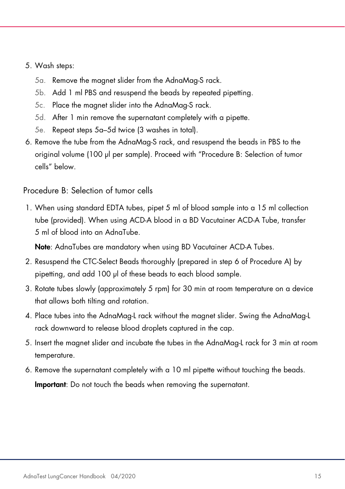#### <span id="page-14-0"></span>5. Wash steps:

- 5a. Remove the magnet slider from the AdnaMag-S rack.
- 5b. Add 1 ml PBS and resuspend the beads by repeated pipetting.
- 5c. Place the magnet slider into the AdnaMag-S rack.
- <span id="page-14-1"></span>5d. After 1 min remove the supernatant completely with a pipette.
- 5e. Repeat steps [5a](#page-14-0)[–5d](#page-14-1) twice (3 washes in total).
- <span id="page-14-3"></span>6. Remove the tube from the AdnaMag-S rack, and resuspend the beads in PBS to the original volume (100 µl per sample). Proceed with ["Procedure B: Selection of tumor](#page-14-2)  [cells"](#page-14-2) below.

<span id="page-14-2"></span>Procedure B: Selection of tumor cells

1. When using standard EDTA tubes, pipet 5 ml of blood sample into a 15 ml collection tube (provided). When using ACD-A blood in a BD Vacutainer ACD-A Tube, transfer 5 ml of blood into an AdnaTube.

Note: AdnaTubes are mandatory when using BD Vacutainer ACD-A Tubes.

- 2. Resuspend the CTC-Select Beads thoroughly (prepared in step [6](#page-14-3) of Procedure A) by pipetting, and add 100 µl of these beads to each blood sample.
- 3. Rotate tubes slowly (approximately 5 rpm) for 30 min at room temperature on a device that allows both tilting and rotation.
- 4. Place tubes into the AdnaMag-L rack without the magnet slider. Swing the AdnaMag-L rack downward to release blood droplets captured in the cap.
- 5. Insert the magnet slider and incubate the tubes in the AdnaMag-L rack for 3 min at room temperature.
- 6. Remove the supernatant completely with a 10 ml pipette without touching the beads. Important: Do not touch the beads when removing the supernatant.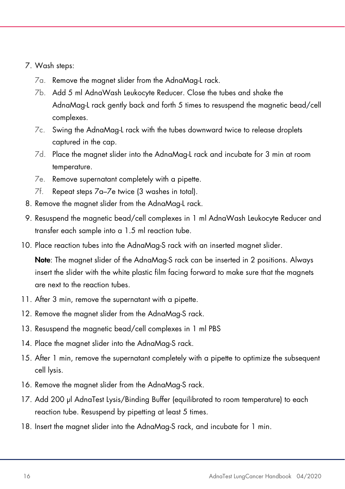#### <span id="page-15-0"></span>7. Wash steps:

- 7a. Remove the magnet slider from the AdnaMag-L rack.
- 7b. Add 5 ml AdnaWash Leukocyte Reducer. Close the tubes and shake the AdnaMag-L rack gently back and forth 5 times to resuspend the magnetic bead/cell complexes.
- 7c. Swing the AdnaMag-L rack with the tubes downward twice to release droplets captured in the cap.
- 7d. Place the magnet slider into the AdnaMag-L rack and incubate for 3 min at room temperature.
- <span id="page-15-1"></span>7e. Remove supernatant completely with a pipette.
- 7f. Repeat steps [7a](#page-15-0)[–7e](#page-15-1) twice (3 washes in total).
- 8. Remove the magnet slider from the AdnaMag-L rack.
- 9. Resuspend the magnetic bead/cell complexes in 1 ml AdnaWash Leukocyte Reducer and transfer each sample into a 1.5 ml reaction tube.
- 10. Place reaction tubes into the AdnaMag-S rack with an inserted magnet slider.

Note: The magnet slider of the AdnaMag-S rack can be inserted in 2 positions. Always insert the slider with the white plastic film facing forward to make sure that the magnets are next to the reaction tubes.

- 11. After 3 min, remove the supernatant with a pipette.
- 12. Remove the magnet slider from the AdnaMag-S rack.
- 13. Resuspend the magnetic bead/cell complexes in 1 ml PBS
- 14. Place the magnet slider into the AdnaMag-S rack.
- 15. After 1 min, remove the supernatant completely with a pipette to optimize the subsequent cell lysis.
- 16. Remove the magnet slider from the AdnaMag-S rack.
- 17. Add 200 µl AdnaTest Lysis/Binding Buffer (equilibrated to room temperature) to each reaction tube. Resuspend by pipetting at least 5 times.
- 18. Insert the magnet slider into the AdnaMag-S rack, and incubate for 1 min.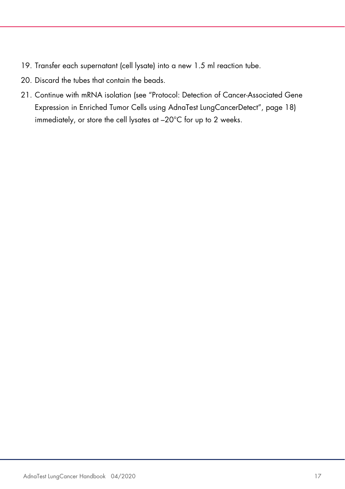- <span id="page-16-0"></span>19. Transfer each supernatant (cell lysate) into a new 1.5 ml reaction tube.
- 20. Discard the tubes that contain the beads.
- 21. Continue with mRNA isolation (see ["Protocol: Detection of Cancer-Associated Gene](#page-17-0)  [Expression in Enriched Tumor Cells using AdnaTest LungCancerDetect"](#page-17-0), page [18\)](#page-17-0) immediately, or store the cell lysates at –20°C for up to 2 weeks.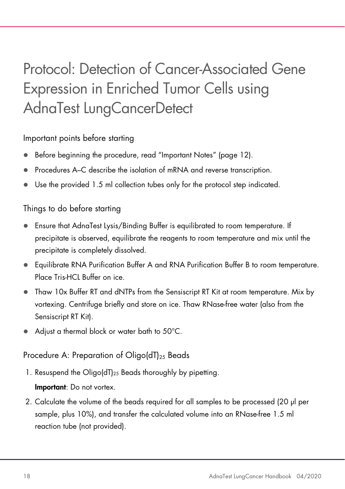# <span id="page-17-0"></span>Protocol: Detection of Cancer-Associated Gene Expression in Enriched Tumor Cells using AdnaTest LungCancerDetect

#### Important points before starting

- Before beginning the procedure, read ["Important Notes"](#page-11-0) (page [12\)](#page-11-0).
- Procedures A–C describe the isolation of mRNA and reverse transcription.
- Use the provided 1.5 ml collection tubes only for the protocol step indicated.

#### Things to do before starting

- Ensure that AdnaTest Lysis/Binding Buffer is equilibrated to room temperature. If precipitate is observed, equilibrate the reagents to room temperature and mix until the precipitate is completely dissolved.
- Equilibrate RNA Purification Buffer A and RNA Purification Buffer B to room temperature. Place Tris-HCL Buffer on ice.
- Thaw 10x Buffer RT and dNTPs from the Sensiscript RT Kit at room temperature. Mix by vortexing. Centrifuge briefly and store on ice. Thaw RNase-free water (also from the Sensiscript RT Kit).
- Adjust a thermal block or water bath to 50°C.

#### Procedure A: Preparation of Oligo( $dT$ )<sub>25</sub> Beads

1. Resuspend the Oligo(dT)25 Beads thoroughly by pipetting.

#### Important: Do not vortex.

<span id="page-17-1"></span>2. Calculate the volume of the beads required for all samples to be processed (20 µl per sample, plus 10%), and transfer the calculated volume into an RNase-free 1.5 ml reaction tube (not provided).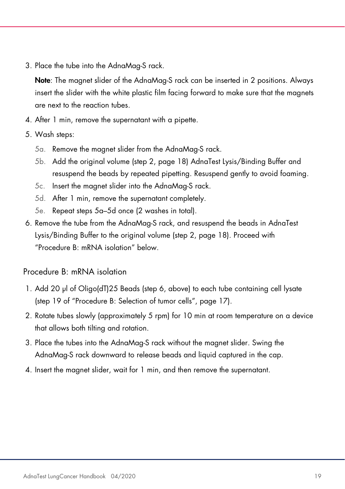3. Place the tube into the AdnaMag-S rack.

Note: The magnet slider of the AdnaMag-S rack can be inserted in 2 positions. Always insert the slider with the white plastic film facing forward to make sure that the magnets are next to the reaction tubes.

- 4. After 1 min, remove the supernatant with a pipette.
- <span id="page-18-0"></span>5. Wash steps:
	- 5a. Remove the magnet slider from the AdnaMag-S rack.
	- 5b. Add the original volume (step [2,](#page-17-1) page [18\)](#page-17-1) AdnaTest Lysis/Binding Buffer and resuspend the beads by repeated pipetting. Resuspend gently to avoid foaming.
	- 5c. Insert the magnet slider into the AdnaMag-S rack.
	- 5d. After 1 min, remove the supernatant completely.
	- 5e. Repeat steps [5a](#page-18-0)[–5d](#page-18-1) once (2 washes in total).
- <span id="page-18-3"></span><span id="page-18-1"></span>6. Remove the tube from the AdnaMag-S rack, and resuspend the beads in AdnaTest Lysis/Binding Buffer to the original volume (step [2,](#page-17-1) page [18\)](#page-17-1). Proceed with "Procedure [B: mRNA isolation"](#page-18-2) below.

<span id="page-18-2"></span>Procedure B: mRNA isolation

- 1. Add 20 µl of Oligo(dT)25 Beads (step [6,](#page-18-3) above) to each tube containing cell lysate (step [19](#page-16-0) of ["Procedure B: Selection of tumor cells"](#page-14-2), page [17\).](#page-16-0)
- 2. Rotate tubes slowly (approximately 5 rpm) for 10 min at room temperature on a device that allows both tilting and rotation.
- 3. Place the tubes into the AdnaMag-S rack without the magnet slider. Swing the AdnaMag-S rack downward to release beads and liquid captured in the cap.
- 4. Insert the magnet slider, wait for 1 min, and then remove the supernatant.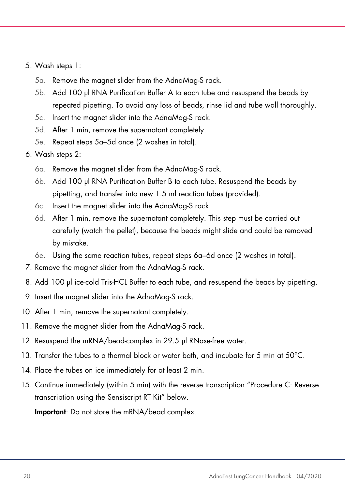- <span id="page-19-0"></span>5. Wash steps 1:
	- 5a. Remove the magnet slider from the AdnaMag-S rack.
	- 5b. Add 100 µl RNA Purification Buffer A to each tube and resuspend the beads by repeated pipetting. To avoid any loss of beads, rinse lid and tube wall thoroughly.
	- 5c. Insert the magnet slider into the AdnaMag-S rack.
	- 5d. After 1 min, remove the supernatant completely.
	- 5e. Repeat steps [5a](#page-19-0)[–5d](#page-19-1) once (2 washes in total).
- <span id="page-19-2"></span><span id="page-19-1"></span>6. Wash steps 2:
	- 6a. Remove the magnet slider from the AdnaMag-S rack.
	- 6b. Add 100 µl RNA Purification Buffer B to each tube. Resuspend the beads by pipetting, and transfer into new 1.5 ml reaction tubes (provided).
	- 6c. Insert the magnet slider into the AdnaMag-S rack.
	- 6d. After 1 min, remove the supernatant completely. This step must be carried out carefully (watch the pellet), because the beads might slide and could be removed by mistake.
	- 6e. Using the same reaction tubes, repeat steps [6a–](#page-19-2)[6d](#page-19-3) once (2 washes in total).
- <span id="page-19-3"></span>7. Remove the magnet slider from the AdnaMag-S rack.
- 8. Add 100 µl ice-cold Tris-HCL Buffer to each tube, and resuspend the beads by pipetting.
- 9. Insert the magnet slider into the AdnaMag-S rack.
- <span id="page-19-4"></span>10. After 1 min, remove the supernatant completely.
- 11. Remove the magnet slider from the AdnaMag-S rack.
- 12. Resuspend the mRNA/bead-complex in 29.5 µl RNase-free water.
- 13. Transfer the tubes to a thermal block or water bath, and incubate for 5 min at 50°C.
- 14. Place the tubes on ice immediately for at least 2 min.
- 15. Continue immediately (within 5 min) with the reverse transcription ["Procedure C: Reverse](#page-20-0)  [transcription using the Sensiscript RT Kit"](#page-20-0) below.

Important: Do not store the mRNA/bead complex.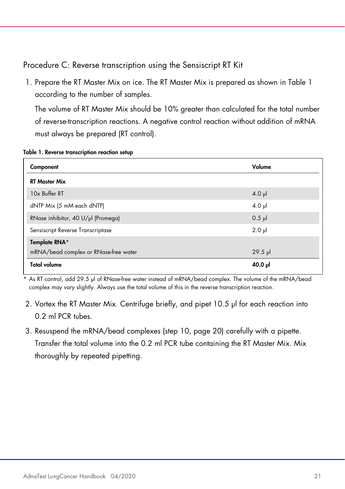<span id="page-20-0"></span>Procedure C: Reverse transcription using the Sensiscript RT Kit

1. Prepare the RT Master Mix on ice. The RT Master Mix is prepared as shown in [Table 1](#page-20-1) according to the number of samples.

The volume of RT Master Mix should be 10% greater than calculated for the total number of reverse-transcription reactions. A negative control reaction without addition of mRNA must always be prepared (RT control).

| Component                             | Volume      |
|---------------------------------------|-------------|
| <b>RT Master Mix</b>                  |             |
| 10x Buffer RT                         | $4.0$ pl    |
| dNTP Mix (5 mM each dNTP)             | $4.0$ pl    |
| RNase inhibitor, 40 U/µl (Promega)    | $0.5$ $\mu$ |
| Sensiscript Reverse Transcriptase     | $2.0$ $\mu$ |
| Template RNA*                         |             |
| mRNA/bead complex or RNase-free water | $29.5$ pl   |
| <b>Total volume</b>                   | 40.0 µl     |

#### <span id="page-20-1"></span>Table 1. Reverse transcription reaction setup

\* As RT control, add 29.5 µl of RNase-free water instead of mRNA/bead complex. The volume of the mRNA/bead complex may vary slightly. Always use the total volume of this in the reverse transcription reaction.

- 2. Vortex the RT Master Mix. Centrifuge briefly, and pipet 10.5 µl for each reaction into 0.2 ml PCR tubes.
- 3. Resuspend the mRNA/bead complexes (step [10,](#page-19-4) page [20\)](#page-19-4) carefully with a pipette. Transfer the total volume into the 0.2 ml PCR tube containing the RT Master Mix. Mix thoroughly by repeated pipetting.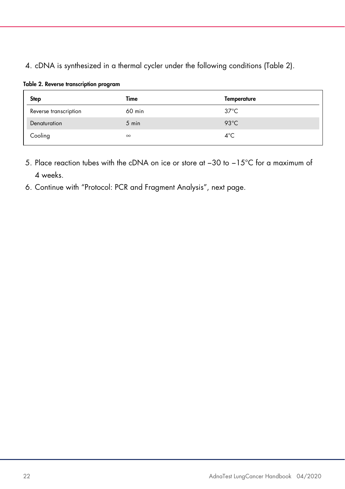#### 4. cDNA is synthesized in a thermal cycler under the following conditions [\(Table 2\)](#page-21-0).

<span id="page-21-0"></span>

|  |  | Table 2. Reverse transcription program |  |
|--|--|----------------------------------------|--|
|--|--|----------------------------------------|--|

| <b>Step</b>           | Time     | Temperature    |
|-----------------------|----------|----------------|
| Reverse transcription | 60 min   | $37^{\circ}$ C |
| Denaturation          | 5 min    | $93^{\circ}$ C |
| Cooling               | $\infty$ | $4^{\circ}$ C  |

- 5. Place reaction tubes with the cDNA on ice or store at −30 to −15°C for a maximum of 4 weeks.
- 6. Continue with ["Protocol: PCR and Fragment Analysis"](#page-22-0), next page.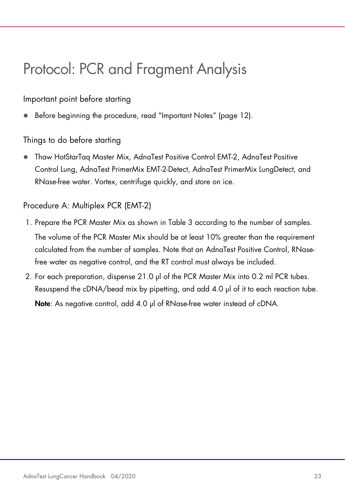# <span id="page-22-0"></span>Protocol: PCR and Fragment Analysis

Important point before starting

Before beginning the procedure, read ["Important Notes"](#page-11-0) (page [12\)](#page-11-0).

Things to do before starting

 Thaw HotStarTaq Master Mix, AdnaTest Positive Control EMT-2, AdnaTest Positive Control Lung, AdnaTest PrimerMix EMT-2-Detect, AdnaTest PrimerMix LungDetect, and RNase-free water. Vortex, centrifuge quickly, and store on ice.

Procedure A: Multiplex PCR (EMT-2)

- 1. Prepare the PCR Master Mix as shown in [Table 3](#page-23-0) according to the number of samples. The volume of the PCR Master Mix should be at least 10% greater than the requirement calculated from the number of samples. Note that an AdnaTest Positive Control, RNasefree water as negative control, and the RT control must always be included.
- 2. For each preparation, dispense 21.0 µl of the PCR Master Mix into 0.2 ml PCR tubes. Resuspend the cDNA/bead mix by pipetting, and add 4.0 µl of it to each reaction tube.

Note: As negative control, add 4.0 µl of RNase-free water instead of cDNA.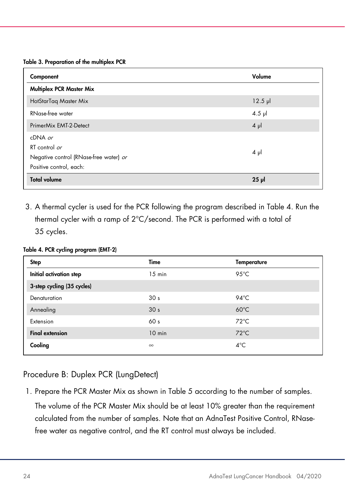#### <span id="page-23-0"></span>Table 3. Preparation of the multiplex PCR

| Component                              | Volume       |
|----------------------------------------|--------------|
| Multiplex PCR Master Mix               |              |
| HotStarTag Master Mix                  | $12.5$ $\mu$ |
| RNase-free water                       | $4.5$ µ      |
| PrimerMix EMT-2-Detect                 | $4 \mu$      |
| $cDNA$ or                              |              |
| RT control or                          |              |
| Negative control (RNase-free water) or | $4 \mu$      |
| Positive control, each:                |              |
| <b>Total volume</b>                    | $25$ $\mu$   |

3. A thermal cycler is used for the PCR following the program described in [Table 4.](#page-23-1) Run the thermal cycler with a ramp of 2°C/second. The PCR is performed with a total of 35 cycles.

#### <span id="page-23-1"></span>Table 4. PCR cycling program (EMT-2)

| Step                       | Time            | <b>Temperature</b> |  |
|----------------------------|-----------------|--------------------|--|
| Initial activation step    | $15$ min        | 95 $°C$            |  |
| 3-step cycling (35 cycles) |                 |                    |  |
| Denaturation               | 30 <sub>s</sub> | $94^{\circ}$ C     |  |
| Annealing                  | 30 <sub>s</sub> | $60^{\circ}$ C     |  |
| Extension                  | 60 <sub>s</sub> | $72^{\circ}$ C     |  |
| <b>Final extension</b>     | $10$ min        | $72^{\circ}$ C     |  |
| Cooling                    | $\infty$        | $4^{\circ}$ C      |  |

#### Procedure B: Duplex PCR (LungDetect)

1. Prepare the PCR Master Mix as shown in [Table 5](#page-24-0) according to the number of samples.

The volume of the PCR Master Mix should be at least 10% greater than the requirement calculated from the number of samples. Note that an AdnaTest Positive Control, RNasefree water as negative control, and the RT control must always be included.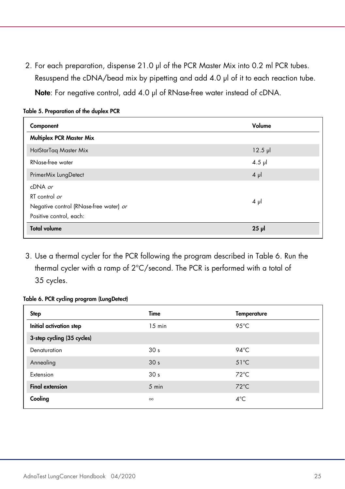2. For each preparation, dispense 21.0 µl of the PCR Master Mix into 0.2 ml PCR tubes. Resuspend the cDNA/bead mix by pipetting and add 4.0 µl of it to each reaction tube.

Note: For negative control, add 4.0 µl of RNase-free water instead of cDNA.

| Component                                                                                       | Volume       |
|-------------------------------------------------------------------------------------------------|--------------|
| <b>Multiplex PCR Master Mix</b>                                                                 |              |
| HotStarTaq Master Mix                                                                           | $12.5$ $\mu$ |
| RNase-free water                                                                                | $4.5$ µ      |
| PrimerMix LungDetect                                                                            | $4 \mu$      |
| $cDNA$ or<br>RT control or<br>Negative control (RNase-free water) or<br>Positive control, each: | $4 \mu$      |
| <b>Total volume</b>                                                                             | $25$ $\mu$   |

#### <span id="page-24-0"></span>Table 5. Preparation of the duplex PCR

3. Use a thermal cycler for the PCR following the program described in [Table 6.](#page-24-1) Run the thermal cycler with a ramp of 2°C/second. The PCR is performed with a total of 35 cycles.

#### <span id="page-24-1"></span>Table 6. PCR cycling program (LungDetect)

| Step                       | Time            | <b>Temperature</b> |  |
|----------------------------|-----------------|--------------------|--|
| Initial activation step    | $15$ min        | $95^{\circ}$ C     |  |
| 3-step cycling (35 cycles) |                 |                    |  |
| Denaturation               | 30 <sub>s</sub> | $94^{\circ}$ C     |  |
| Annealing                  | 30 <sub>s</sub> | $51^{\circ}$ C     |  |
| Extension                  | 30 <sub>s</sub> | $72^{\circ}$ C     |  |
| <b>Final extension</b>     | $5 \text{ min}$ | $72^{\circ}$ C     |  |
| Cooling                    | $\infty$        | $4^{\circ}$ C      |  |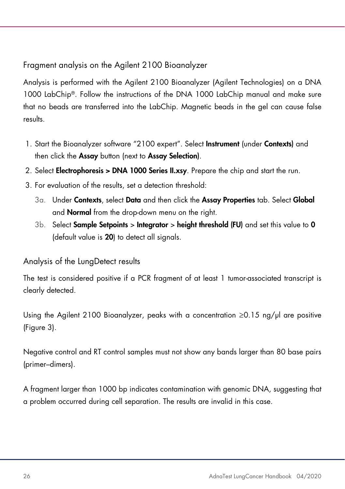Fragment analysis on the Agilent 2100 Bioanalyzer

Analysis is performed with the Agilent 2100 Bioanalyzer (Agilent Technologies) on a DNA 1000 LabChip®. Follow the instructions of the DNA 1000 LabChip manual and make sure that no beads are transferred into the LabChip. Magnetic beads in the gel can cause false results.

- 1. Start the Bioanalyzer software "2100 expert". Select Instrument (under Contexts) and then click the Assay button (next to Assay Selection).
- 2. Select Electrophoresis > DNA 1000 Series II.xsy. Prepare the chip and start the run.
- 3. For evaluation of the results, set a detection threshold:
	- 3a. Under Contexts, select Data and then click the Assay Properties tab. Select Global and Normal from the drop-down menu on the right.
	- $3b.$  Select **Sample Setpoints > Integrator > height threshold (FU)** and set this value to 0 (default value is 20) to detect all signals.

### Analysis of the LungDetect results

The test is considered positive if a PCR fragment of at least 1 tumor-associated transcript is clearly detected.

Using the Agilent 2100 Bioanalyzer, peaks with a concentration  $\geq 0.15$  ng/ $\mu$  are positive [\(Figure 3\)](#page-26-0).

Negative control and RT control samples must not show any bands larger than 80 base pairs (primer–dimers).

A fragment larger than 1000 bp indicates contamination with genomic DNA, suggesting that a problem occurred during cell separation. The results are invalid in this case.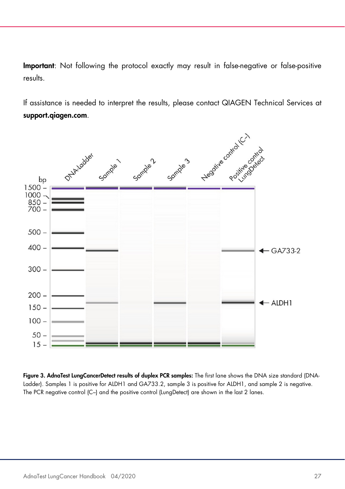Important: Not following the protocol exactly may result in false-negative or false-positive results.

If assistance is needed to interpret the results, please contact QIAGEN Technical Services at support.qiagen.com.



<span id="page-26-0"></span>Figure 3. AdnaTest LungCancerDetect results of duplex PCR samples: The first lane shows the DNA size standard (DNA-Ladder). Samples 1 is positive for ALDH1 and GA733.2, sample 3 is positive for ALDH1, and sample 2 is negative. The PCR negative control (C–) and the positive control (LungDetect) are shown in the last 2 lanes.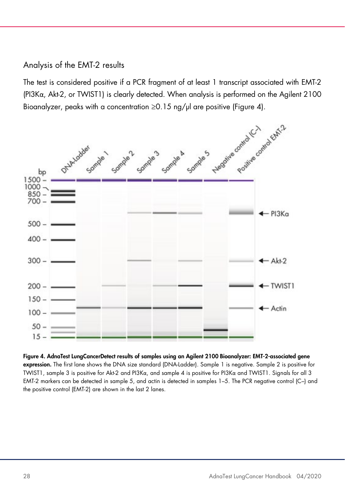#### Analysis of the EMT-2 results

The test is considered positive if a PCR fragment of at least 1 transcript associated with EMT-2 (PI3Kα, Akt-2, or TWIST1) is clearly detected. When analysis is performed on the Agilent 2100



<span id="page-27-0"></span>Figure 4. AdnaTest LungCancerDetect results of samples using an Agilent 2100 Bioanalyzer: EMT-2-associated gene expression. The first lane shows the DNA size standard (DNA-Ladder). Sample 1 is negative. Sample 2 is positive for TWIST1, sample 3 is positive for Akt-2 and PI3Kα, and sample 4 is positive for PI3Kα and TWIST1. Signals for all 3 EMT-2 markers can be detected in sample 5, and actin is detected in samples 1–5. The PCR negative control (C–) and the positive control (EMT-2) are shown in the last 2 lanes.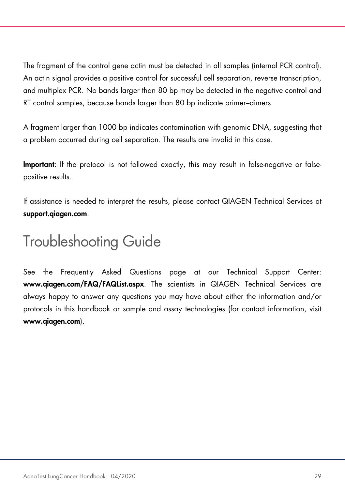The fragment of the control gene actin must be detected in all samples (internal PCR control). An actin signal provides a positive control for successful cell separation, reverse transcription, and multiplex PCR. No bands larger than 80 bp may be detected in the negative control and RT control samples, because bands larger than 80 bp indicate primer–dimers.

A fragment larger than 1000 bp indicates contamination with genomic DNA, suggesting that a problem occurred during cell separation. The results are invalid in this case.

Important: If the protocol is not followed exactly, this may result in false-negative or falsepositive results.

If assistance is needed to interpret the results, please contact QIAGEN Technical Services at support.qiagen.com.

### <span id="page-28-0"></span>Troubleshooting Guide

See the Frequently Asked Questions page at our Technical Support Center: www.qiagen.com/FAQ/FAQList.aspx. The scientists in QIAGEN Technical Services are always happy to answer any questions you may have about either the information and/or protocols in this handbook or sample and assay technologies (for contact information, visit www.qiagen.com).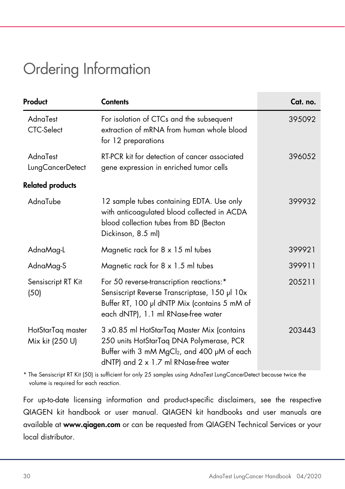### <span id="page-29-0"></span>Ordering Information

| Product                              | <b>Contents</b>                                                                                                                                                                  | Cat. no. |
|--------------------------------------|----------------------------------------------------------------------------------------------------------------------------------------------------------------------------------|----------|
| AdnaTest<br>CTC-Select               | For isolation of CTCs and the subsequent<br>extraction of mRNA from human whole blood<br>for 12 preparations                                                                     | 395092   |
| AdnaTest<br>LungCancerDetect         | RT-PCR kit for detection of cancer associated<br>gene expression in enriched tumor cells                                                                                         | 396052   |
| <b>Related products</b>              |                                                                                                                                                                                  |          |
| AdnaTube                             | 12 sample tubes containing EDTA. Use only<br>with anticoagulated blood collected in ACDA<br>blood collection tubes from BD (Becton<br>Dickinson, 8.5 ml)                         | 399932   |
| AdnaMag-L                            | Magnetic rack for $8 \times 15$ ml tubes                                                                                                                                         | 399921   |
| AdnaMag-S                            | Magnetic rack for $8 \times 1.5$ ml tubes                                                                                                                                        | 399911   |
| Sensiscript RT Kit<br>(50)           | For 50 reverse-transcription reactions:*<br>Sensiscript Reverse Transcriptase, 150 µl 10x<br>Buffer RT, 100 µl dNTP Mix (contains 5 mM of<br>each dNTP), 1.1 ml RNase-free water | 205211   |
| HotStarTaq master<br>Mix kit (250 U) | 3 x0.85 ml HotStarTaq Master Mix (contains<br>250 units HotStarTaq DNA Polymerase, PCR<br>Buffer with 3 mM MgCl2, and 400 µM of each<br>dNTP) and 2 x 1.7 ml RNase-free water    | 203443   |

\* The Sensiscript RT Kit (50) is sufficient for only 25 samples using AdnaTest LungCancerDetect because twice the volume is required for each reaction.

For up-to-date licensing information and product-specific disclaimers, see the respective QIAGEN kit handbook or user manual. QIAGEN kit handbooks and user manuals are available at www.qiagen.com or can be requested from QIAGEN Technical Services or your local distributor.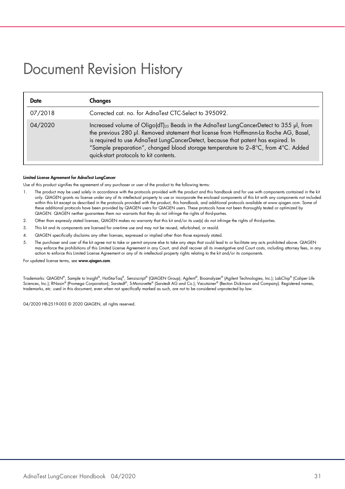### <span id="page-30-0"></span>Document Revision History

| Date    | <b>Changes</b>                                                                                                                                                                                                                                                                                                                                                                                                                      |
|---------|-------------------------------------------------------------------------------------------------------------------------------------------------------------------------------------------------------------------------------------------------------------------------------------------------------------------------------------------------------------------------------------------------------------------------------------|
| 07/2018 | Corrected cat. no. for AdnaTest CTC-Select to 395092.                                                                                                                                                                                                                                                                                                                                                                               |
| 04/2020 | Increased volume of Oligo(dT) <sub>25</sub> Beads in the AdnaTest LungCancerDetect to 355 µl, from<br>the previous 280 µl. Removed statement that license from Hoffmann-La Roche AG, Basel,<br>is required to use AdnaTest LungCancerDetect, because that patent has expired. In<br>"Sample preparation", changed blood storage temperature to $2-8^{\circ}$ C, from $4^{\circ}$ C. Added<br>quick-start protocols to kit contents. |

#### Limited License Agreement for AdnaTest LungCancer

Use of this product signifies the agreement of any purchaser or user of the product to the following terms:

- 1. The product may be used solely in accordance with the protocols provided with the product and this handbook and for use with components contained in the kit only. QIAGEN grants no license under any of its intellectual property to use or incorporate the enclosed components of this kit with any components not included within this kit except as described in the protocols provided with the product, this handbook, and additional protocols available at www.qiagen.com. Some of<br>these additional protocols have been provided by QIAGEN users for QIAGEN. QIAGEN neither guarantees them nor warrants that they do not infringe the rights of third-parties.
- 2. Other than expressly stated licenses, QIAGEN makes no warranty that this kit and/or its use(s) do not infringe the rights of third-parties.
- 3. This kit and its components are licensed for one-time use and may not be reused, refurbished, or resold.
- 4. QIAGEN specifically disclaims any other licenses, expressed or implied other than those expressly stated.
- 5. The purchaser and user of the kit agree not to take or permit anyone else to take any steps that could lead to or facilitate any acts prohibited above. QIAGEN may enforce the prohibitions of this Limited License Agreement in any Court, and shall recover all its investigative and Court costs, including attorney fees, in any action to enforce this Limited License Agreement or any of its intellectual property rights relating to the kit and/or its components.

For updated license terms, see www.qiagen.com.

Trademarks: QIAGEN®, Sample to Insight®, HotStarTaq®, Sensiscript® (QIAGEN Group); Agilent®, Bioanalyzer® (Agilent Technologies, Inc.); LabChip® (Caliper Life Sciences, Inc.); RNasin® (Promega Corporation); Sarstedt®, S-Monovette® (Sarstedt AG and Co.); Vacutainer® (Becton Dickinson and Company). Registered names, trademarks, etc. used in this document, even when not specifically marked as such, are not to be considered unprotected by law.

04/2020 HB-2519-003 © 2020 QIAGEN, all rights reserved.